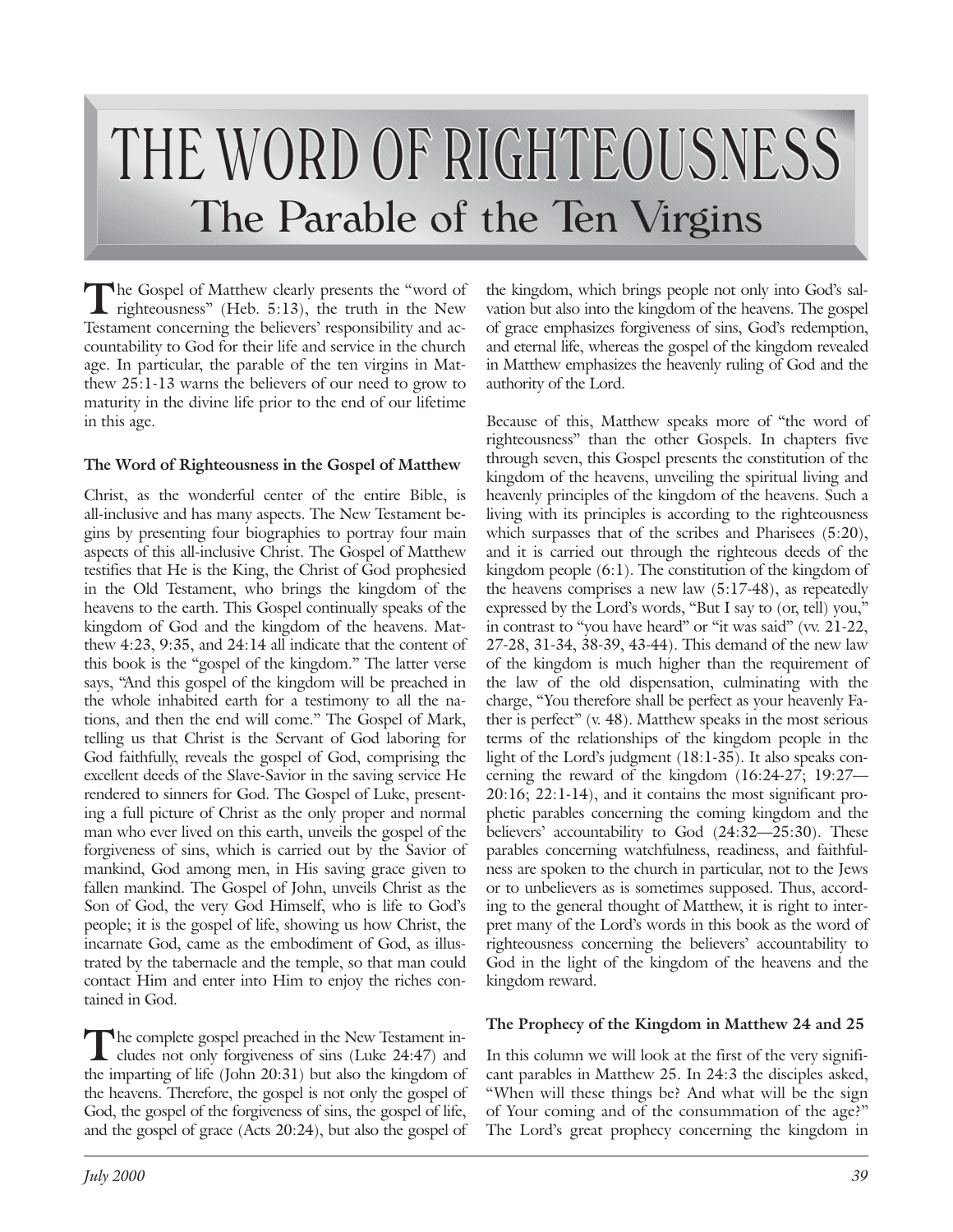# THE WORD OF RIGHTEOUSNESS The Parable of the Ten Virgins

The Gospel of Matthew clearly presents the "word of righteousness" (Heb. 5:13), the truth in the New Testament concerning the believers' responsibility and accountability to God for their life and service in the church age. In particular, the parable of the ten virgins in Matthew 25:1-13 warns the believers of our need to grow to maturity in the divine life prior to the end of our lifetime in this age.

#### **The Word of Righteousness in the Gospel of Matthew**

Christ, as the wonderful center of the entire Bible, is all-inclusive and has many aspects. The New Testament begins by presenting four biographies to portray four main aspects of this all-inclusive Christ. The Gospel of Matthew testifies that He is the King, the Christ of God prophesied in the Old Testament, who brings the kingdom of the heavens to the earth. This Gospel continually speaks of the kingdom of God and the kingdom of the heavens. Matthew 4:23, 9:35, and 24:14 all indicate that the content of this book is the "gospel of the kingdom." The latter verse says, "And this gospel of the kingdom will be preached in the whole inhabited earth for a testimony to all the nations, and then the end will come." The Gospel of Mark, telling us that Christ is the Servant of God laboring for God faithfully, reveals the gospel of God, comprising the excellent deeds of the Slave-Savior in the saving service He rendered to sinners for God. The Gospel of Luke, presenting a full picture of Christ as the only proper and normal man who ever lived on this earth, unveils the gospel of the forgiveness of sins, which is carried out by the Savior of mankind, God among men, in His saving grace given to fallen mankind. The Gospel of John, unveils Christ as the Son of God, the very God Himself, who is life to God's people; it is the gospel of life, showing us how Christ, the incarnate God, came as the embodiment of God, as illustrated by the tabernacle and the temple, so that man could contact Him and enter into Him to enjoy the riches contained in God.

The complete gospel preached in the New Testament in-<br>cludes not only forgiveness of sins (Luke 24:47) and the imparting of life (John 20:31) but also the kingdom of the heavens. Therefore, the gospel is not only the gospel of God, the gospel of the forgiveness of sins, the gospel of life, and the gospel of grace (Acts 20:24), but also the gospel of the kingdom, which brings people not only into God's salvation but also into the kingdom of the heavens. The gospel of grace emphasizes forgiveness of sins, God's redemption, and eternal life, whereas the gospel of the kingdom revealed in Matthew emphasizes the heavenly ruling of God and the authority of the Lord.

Because of this, Matthew speaks more of "the word of righteousness" than the other Gospels. In chapters five through seven, this Gospel presents the constitution of the kingdom of the heavens, unveiling the spiritual living and heavenly principles of the kingdom of the heavens. Such a living with its principles is according to the righteousness which surpasses that of the scribes and Pharisees (5:20), and it is carried out through the righteous deeds of the kingdom people (6:1). The constitution of the kingdom of the heavens comprises a new law (5:17-48), as repeatedly expressed by the Lord's words, "But I say to (or, tell) you," in contrast to "you have heard" or "it was said" (vv. 21-22, 27-28, 31-34, 38-39, 43-44). This demand of the new law of the kingdom is much higher than the requirement of the law of the old dispensation, culminating with the charge, "You therefore shall be perfect as your heavenly Father is perfect" (v. 48). Matthew speaks in the most serious terms of the relationships of the kingdom people in the light of the Lord's judgment (18:1-35). It also speaks concerning the reward of the kingdom (16:24-27; 19:27— 20:16; 22:1-14), and it contains the most significant prophetic parables concerning the coming kingdom and the believers' accountability to God (24:32—25:30). These parables concerning watchfulness, readiness, and faithfulness are spoken to the church in particular, not to the Jews or to unbelievers as is sometimes supposed. Thus, according to the general thought of Matthew, it is right to interpret many of the Lord's words in this book as the word of righteousness concerning the believers' accountability to God in the light of the kingdom of the heavens and the kingdom reward.

# **The Prophecy of the Kingdom in Matthew 24 and 25**

In this column we will look at the first of the very significant parables in Matthew 25. In 24:3 the disciples asked, "When will these things be? And what will be the sign of Your coming and of the consummation of the age?" The Lord's great prophecy concerning the kingdom in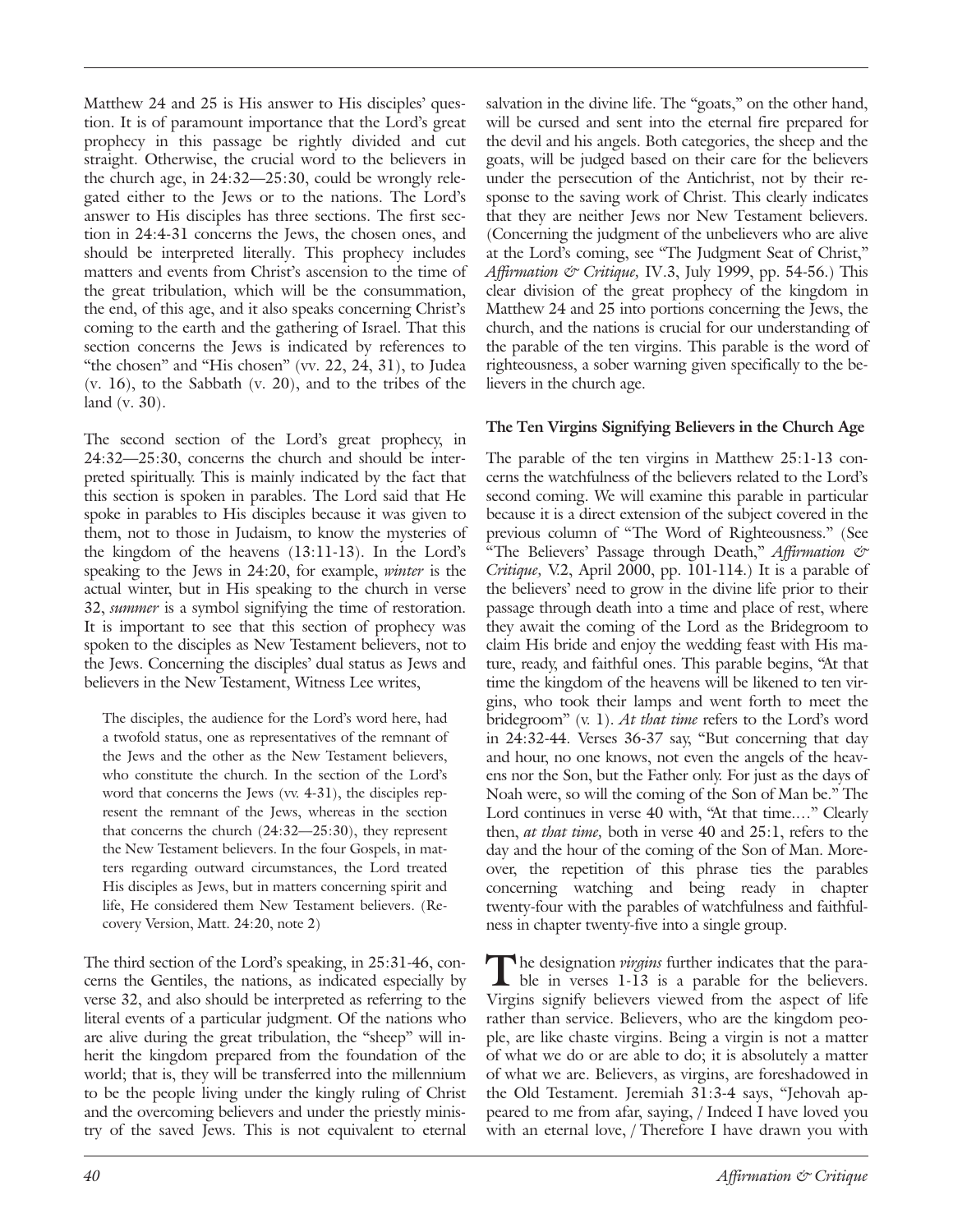Matthew 24 and 25 is His answer to His disciples' question. It is of paramount importance that the Lord's great prophecy in this passage be rightly divided and cut straight. Otherwise, the crucial word to the believers in the church age, in 24:32—25:30, could be wrongly relegated either to the Jews or to the nations. The Lord's answer to His disciples has three sections. The first section in 24:4-31 concerns the Jews, the chosen ones, and should be interpreted literally. This prophecy includes matters and events from Christ's ascension to the time of the great tribulation, which will be the consummation, the end, of this age, and it also speaks concerning Christ's coming to the earth and the gathering of Israel. That this section concerns the Jews is indicated by references to "the chosen" and "His chosen" (vv. 22, 24, 31), to Judea (v. 16), to the Sabbath (v. 20), and to the tribes of the land (v. 30).

The second section of the Lord's great prophecy, in 24:32—25:30, concerns the church and should be interpreted spiritually. This is mainly indicated by the fact that this section is spoken in parables. The Lord said that He spoke in parables to His disciples because it was given to them, not to those in Judaism, to know the mysteries of the kingdom of the heavens (13:11-13). In the Lord's speaking to the Jews in 24:20, for example, *winter* is the actual winter, but in His speaking to the church in verse 32, *summer* is a symbol signifying the time of restoration. It is important to see that this section of prophecy was spoken to the disciples as New Testament believers, not to the Jews. Concerning the disciples' dual status as Jews and believers in the New Testament, Witness Lee writes,

The disciples, the audience for the Lord's word here, had a twofold status, one as representatives of the remnant of the Jews and the other as the New Testament believers, who constitute the church. In the section of the Lord's word that concerns the Jews (vv. 4-31), the disciples represent the remnant of the Jews, whereas in the section that concerns the church (24:32—25:30), they represent the New Testament believers. In the four Gospels, in matters regarding outward circumstances, the Lord treated His disciples as Jews, but in matters concerning spirit and life, He considered them New Testament believers. (Recovery Version, Matt. 24:20, note 2)

The third section of the Lord's speaking, in 25:31-46, concerns the Gentiles, the nations, as indicated especially by verse 32, and also should be interpreted as referring to the literal events of a particular judgment. Of the nations who are alive during the great tribulation, the "sheep" will inherit the kingdom prepared from the foundation of the world; that is, they will be transferred into the millennium to be the people living under the kingly ruling of Christ and the overcoming believers and under the priestly ministry of the saved Jews. This is not equivalent to eternal

salvation in the divine life. The "goats," on the other hand, will be cursed and sent into the eternal fire prepared for the devil and his angels. Both categories, the sheep and the goats, will be judged based on their care for the believers under the persecution of the Antichrist, not by their response to the saving work of Christ. This clearly indicates that they are neither Jews nor New Testament believers. (Concerning the judgment of the unbelievers who are alive at the Lord's coming, see "The Judgment Seat of Christ," *Affirmation & Critique,* IV.3, July 1999, pp. 54-56.) This clear division of the great prophecy of the kingdom in Matthew 24 and 25 into portions concerning the Jews, the church, and the nations is crucial for our understanding of the parable of the ten virgins. This parable is the word of righteousness, a sober warning given specifically to the believers in the church age.

# **The Ten Virgins Signifying Believers in the Church Age**

The parable of the ten virgins in Matthew 25:1-13 concerns the watchfulness of the believers related to the Lord's second coming. We will examine this parable in particular because it is a direct extension of the subject covered in the previous column of "The Word of Righteousness." (See "The Believers' Passage through Death," *Affirmation & Critique,* V.2, April 2000, pp. 101-114.) It is a parable of the believers' need to grow in the divine life prior to their passage through death into a time and place of rest, where they await the coming of the Lord as the Bridegroom to claim His bride and enjoy the wedding feast with His mature, ready, and faithful ones. This parable begins, "At that time the kingdom of the heavens will be likened to ten virgins, who took their lamps and went forth to meet the bridegroom" (v. 1). *At that time* refers to the Lord's word in 24:32-44. Verses 36-37 say, "But concerning that day and hour, no one knows, not even the angels of the heavens nor the Son, but the Father only. For just as the days of Noah were, so will the coming of the Son of Man be." The Lord continues in verse 40 with, "At that time...." Clearly then, *at that time,* both in verse 40 and 25:1, refers to the day and the hour of the coming of the Son of Man. Moreover, the repetition of this phrase ties the parables concerning watching and being ready in chapter twenty-four with the parables of watchfulness and faithfulness in chapter twenty-five into a single group.

The designation *virgins* further indicates that the parable in verses 1-13 is a parable for the believers. Virgins signify believers viewed from the aspect of life rather than service. Believers, who are the kingdom people, are like chaste virgins. Being a virgin is not a matter of what we do or are able to do; it is absolutely a matter of what we are. Believers, as virgins, are foreshadowed in the Old Testament. Jeremiah 31:3-4 says, "Jehovah appeared to me from afar, saying, / Indeed I have loved you with an eternal love, / Therefore I have drawn you with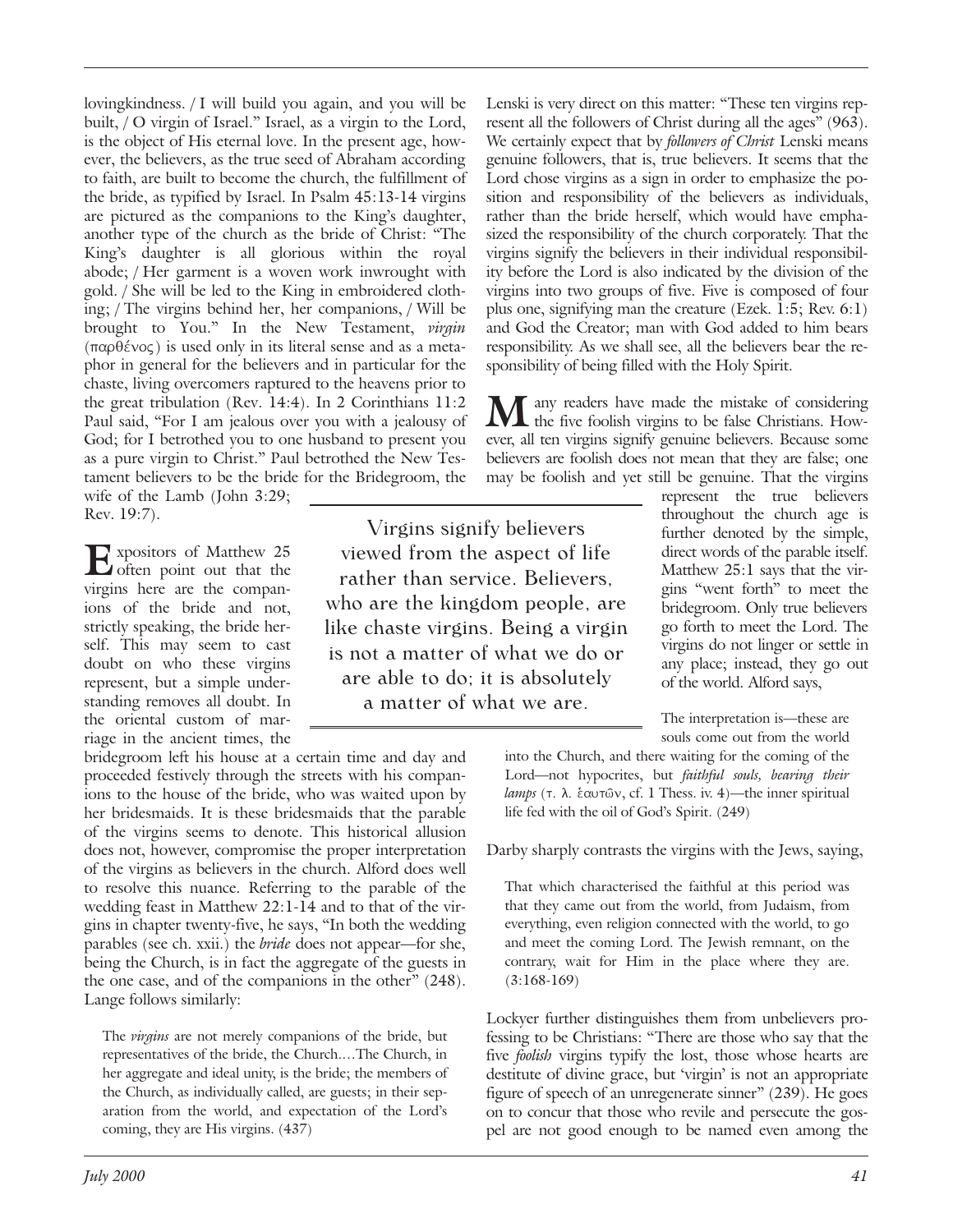lovingkindness. / I will build you again, and you will be built, / O virgin of Israel." Israel, as a virgin to the Lord, is the object of His eternal love. In the present age, however, the believers, as the true seed of Abraham according to faith, are built to become the church, the fulfillment of the bride, as typified by Israel. In Psalm 45:13-14 virgins are pictured as the companions to the King's daughter, another type of the church as the bride of Christ: "The King's daughter is all glorious within the royal abode; / Her garment is a woven work inwrought with gold. / She will be led to the King in embroidered clothing; / The virgins behind her, her companions, / Will be brought to You." In the New Testament, *virgin*  $(\pi \alpha \beta \epsilon \nu \alpha \varsigma)$  is used only in its literal sense and as a metaphor in general for the believers and in particular for the chaste, living overcomers raptured to the heavens prior to the great tribulation (Rev. 14:4). In 2 Corinthians 11:2 Paul said, "For I am jealous over you with a jealousy of God; for I betrothed you to one husband to present you as a pure virgin to Christ." Paul betrothed the New Testament believers to be the bride for the Bridegroom, the wife of the Lamb (John 3:29;

Rev. 19:7).

E<sup>xpositors of Matthew 25</sup> virgins here are the companions of the bride and not, strictly speaking, the bride herself. This may seem to cast doubt on who these virgins represent, but a simple understanding removes all doubt. In the oriental custom of marriage in the ancient times, the

bridegroom left his house at a certain time and day and proceeded festively through the streets with his companions to the house of the bride, who was waited upon by her bridesmaids. It is these bridesmaids that the parable of the virgins seems to denote. This historical allusion does not, however, compromise the proper interpretation of the virgins as believers in the church. Alford does well to resolve this nuance. Referring to the parable of the wedding feast in Matthew 22:1-14 and to that of the virgins in chapter twenty-five, he says, "In both the wedding parables (see ch. xxii.) the *bride* does not appear—for she, being the Church, is in fact the aggregate of the guests in the one case, and of the companions in the other" (248). Lange follows similarly:

The *virgins* are not merely companions of the bride, but representatives of the bride, the Church.…The Church, in her aggregate and ideal unity, is the bride; the members of the Church, as individually called, are guests; in their separation from the world, and expectation of the Lord's coming, they are His virgins. (437)

Lenski is very direct on this matter: "These ten virgins represent all the followers of Christ during all the ages" (963). We certainly expect that by *followers of Christ* Lenski means genuine followers, that is, true believers. It seems that the Lord chose virgins as a sign in order to emphasize the position and responsibility of the believers as individuals, rather than the bride herself, which would have emphasized the responsibility of the church corporately. That the virgins signify the believers in their individual responsibility before the Lord is also indicated by the division of the virgins into two groups of five. Five is composed of four plus one, signifying man the creature (Ezek. 1:5; Rev. 6:1) and God the Creator; man with God added to him bears responsibility. As we shall see, all the believers bear the responsibility of being filled with the Holy Spirit.

any readers have made the mistake of considering<br>the five foolieh virginals of the state of considering the five foolish virgins to be false Christians. However, all ten virgins signify genuine believers. Because some believers are foolish does not mean that they are false; one may be foolish and yet still be genuine. That the virgins

Virgins signify believers viewed from the aspect of life rather than service. Believers, who are the kingdom people, are like chaste virgins. Being a virgin is not a matter of what we do or are able to do; it is absolutely a matter of what we are.

represent the true believers throughout the church age is further denoted by the simple, direct words of the parable itself. Matthew 25:1 says that the virgins "went forth" to meet the bridegroom. Only true believers go forth to meet the Lord. The virgins do not linger or settle in any place; instead, they go out of the world. Alford says,

The interpretation is—these are souls come out from the world

into the Church, and there waiting for the coming of the Lord—not hypocrites, but *faithful souls, bearing their* lamps (τ. λ. *έαυτ*ων, cf. 1 Thess. iv. 4)—the inner spiritual life fed with the oil of God's Spirit. (249)

Darby sharply contrasts the virgins with the Jews, saying,

That which characterised the faithful at this period was that they came out from the world, from Judaism, from everything, even religion connected with the world, to go and meet the coming Lord. The Jewish remnant, on the contrary, wait for Him in the place where they are. (3:168-169)

Lockyer further distinguishes them from unbelievers professing to be Christians: "There are those who say that the five *foolish* virgins typify the lost, those whose hearts are destitute of divine grace, but 'virgin' is not an appropriate figure of speech of an unregenerate sinner" (239). He goes on to concur that those who revile and persecute the gospel are not good enough to be named even among the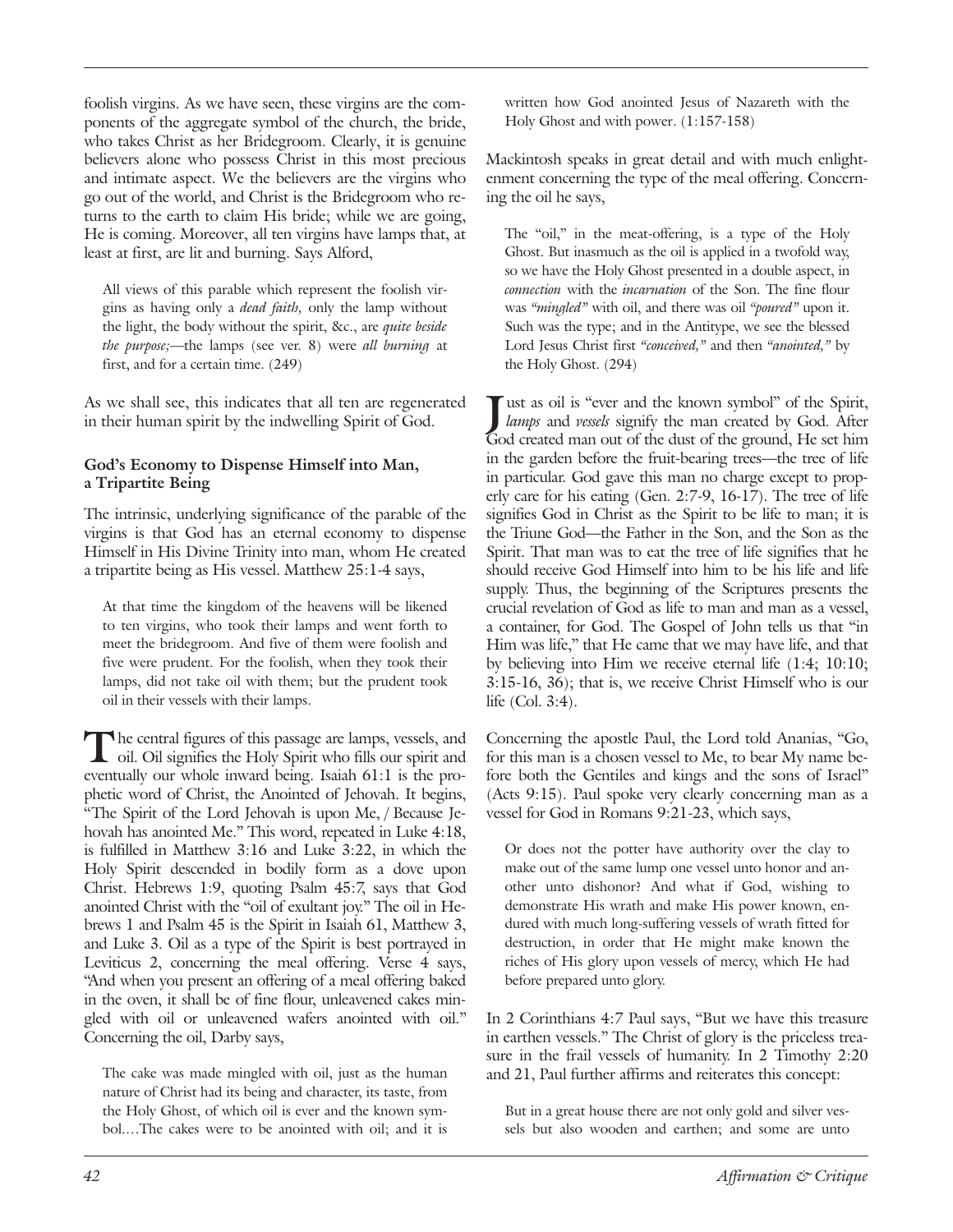foolish virgins. As we have seen, these virgins are the components of the aggregate symbol of the church, the bride, who takes Christ as her Bridegroom. Clearly, it is genuine believers alone who possess Christ in this most precious and intimate aspect. We the believers are the virgins who go out of the world, and Christ is the Bridegroom who returns to the earth to claim His bride; while we are going, He is coming. Moreover, all ten virgins have lamps that, at least at first, are lit and burning. Says Alford,

All views of this parable which represent the foolish virgins as having only a *dead faith,* only the lamp without the light, the body without the spirit, &c., are *quite beside the purpose;*—the lamps (see ver. 8) were *all burning* at first, and for a certain time. (249)

As we shall see, this indicates that all ten are regenerated in their human spirit by the indwelling Spirit of God.

#### **God's Economy to Dispense Himself into Man, a Tripartite Being**

The intrinsic, underlying significance of the parable of the virgins is that God has an eternal economy to dispense Himself in His Divine Trinity into man, whom He created a tripartite being as His vessel. Matthew 25:1-4 says,

At that time the kingdom of the heavens will be likened to ten virgins, who took their lamps and went forth to meet the bridegroom. And five of them were foolish and five were prudent. For the foolish, when they took their lamps, did not take oil with them; but the prudent took oil in their vessels with their lamps.

The central figures of this passage are lamps, vessels, and oil. Oil signifies the Holy Spirit who fills our spirit and eventually our whole inward being. Isaiah 61:1 is the prophetic word of Christ, the Anointed of Jehovah. It begins, "The Spirit of the Lord Jehovah is upon Me, / Because Jehovah has anointed Me." This word, repeated in Luke 4:18, is fulfilled in Matthew 3:16 and Luke 3:22, in which the Holy Spirit descended in bodily form as a dove upon Christ. Hebrews 1:9, quoting Psalm 45:7, says that God anointed Christ with the "oil of exultant joy." The oil in Hebrews 1 and Psalm 45 is the Spirit in Isaiah 61, Matthew 3, and Luke 3. Oil as a type of the Spirit is best portrayed in Leviticus 2, concerning the meal offering. Verse 4 says, "And when you present an offering of a meal offering baked in the oven, it shall be of fine flour, unleavened cakes mingled with oil or unleavened wafers anointed with oil." Concerning the oil, Darby says,

The cake was made mingled with oil, just as the human nature of Christ had its being and character, its taste, from the Holy Ghost, of which oil is ever and the known symbol.…The cakes were to be anointed with oil; and it is written how God anointed Jesus of Nazareth with the Holy Ghost and with power. (1:157-158)

Mackintosh speaks in great detail and with much enlightenment concerning the type of the meal offering. Concerning the oil he says,

The "oil," in the meat-offering, is a type of the Holy Ghost. But inasmuch as the oil is applied in a twofold way, so we have the Holy Ghost presented in a double aspect, in *connection* with the *incarnation* of the Son. The fine flour was *"mingled"* with oil, and there was oil *"poured"* upon it. Such was the type; and in the Antitype, we see the blessed Lord Jesus Christ first *"conceived,"* and then *"anointed,"* by the Holy Ghost. (294)

God created man out of the dust of the ground, He set him ust as oil is "ever and the known symbol" of the Spirit, *lamps* and *vessels* signify the man created by God. After in the garden before the fruit-bearing trees—the tree of life in particular. God gave this man no charge except to properly care for his eating (Gen. 2:7-9, 16-17). The tree of life signifies God in Christ as the Spirit to be life to man; it is the Triune God—the Father in the Son, and the Son as the Spirit. That man was to eat the tree of life signifies that he should receive God Himself into him to be his life and life supply. Thus, the beginning of the Scriptures presents the crucial revelation of God as life to man and man as a vessel, a container, for God. The Gospel of John tells us that "in Him was life," that He came that we may have life, and that by believing into Him we receive eternal life (1:4; 10:10; 3:15-16, 36); that is, we receive Christ Himself who is our life (Col. 3:4).

Concerning the apostle Paul, the Lord told Ananias, "Go, for this man is a chosen vessel to Me, to bear My name before both the Gentiles and kings and the sons of Israel" (Acts 9:15). Paul spoke very clearly concerning man as a vessel for God in Romans 9:21-23, which says,

Or does not the potter have authority over the clay to make out of the same lump one vessel unto honor and another unto dishonor? And what if God, wishing to demonstrate His wrath and make His power known, endured with much long-suffering vessels of wrath fitted for destruction, in order that He might make known the riches of His glory upon vessels of mercy, which He had before prepared unto glory.

In 2 Corinthians 4:7 Paul says, "But we have this treasure in earthen vessels." The Christ of glory is the priceless treasure in the frail vessels of humanity. In 2 Timothy 2:20 and 21, Paul further affirms and reiterates this concept:

But in a great house there are not only gold and silver vessels but also wooden and earthen; and some are unto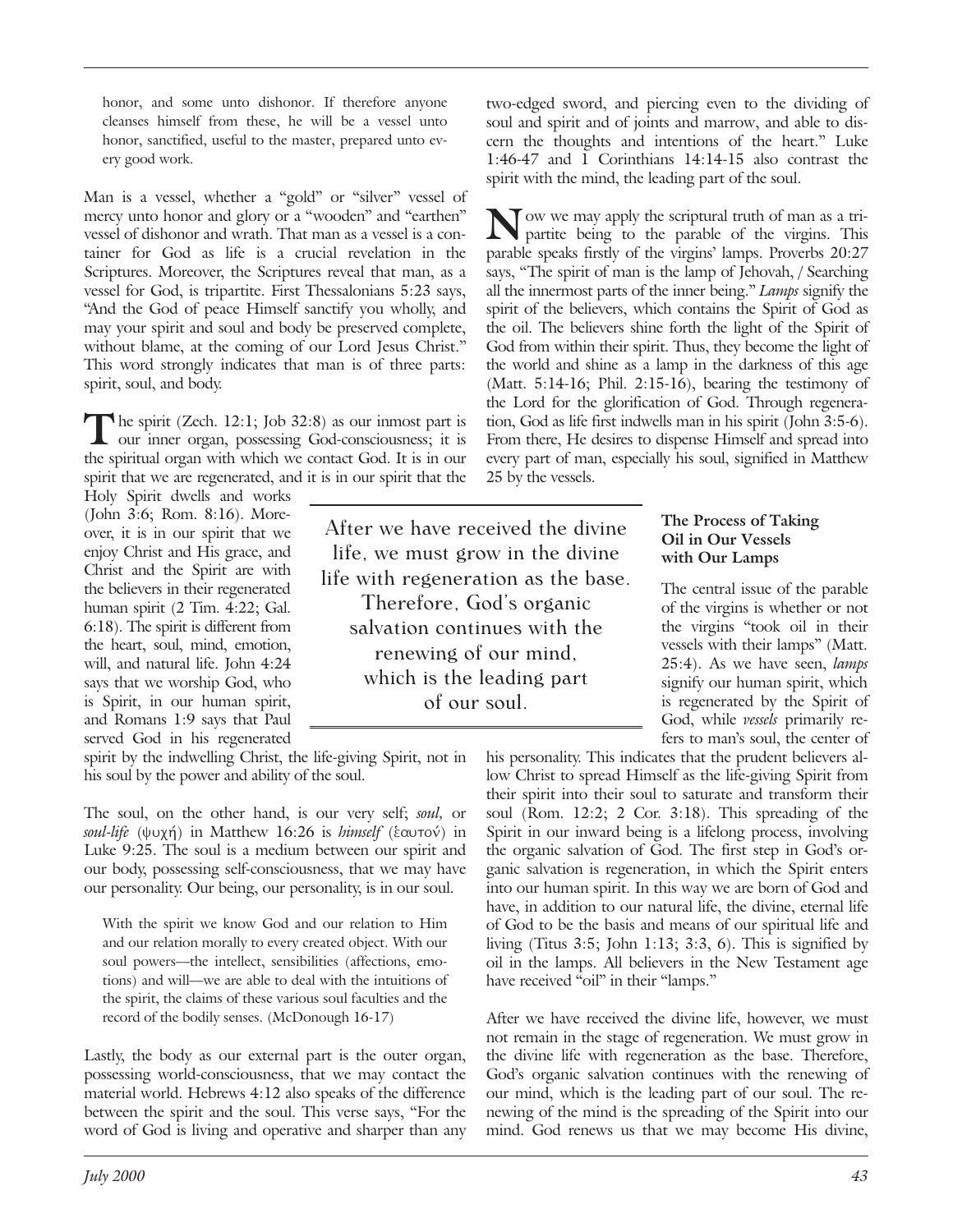honor, and some unto dishonor. If therefore anyone cleanses himself from these, he will be a vessel unto honor, sanctified, useful to the master, prepared unto every good work.

Man is a vessel, whether a "gold" or "silver" vessel of mercy unto honor and glory or a "wooden" and "earthen" vessel of dishonor and wrath. That man as a vessel is a container for God as life is a crucial revelation in the Scriptures. Moreover, the Scriptures reveal that man, as a vessel for God, is tripartite. First Thessalonians 5:23 says, "And the God of peace Himself sanctify you wholly, and may your spirit and soul and body be preserved complete, without blame, at the coming of our Lord Jesus Christ." This word strongly indicates that man is of three parts: spirit, soul, and body.

The spirit (Zech. 12:1; Job 32:8) as our inmost part is our inner organ, possessing God-consciousness; it is the spiritual organ with which we contact God. It is in our spirit that we are regenerated, and it is in our spirit that the

Holy Spirit dwells and works (John 3:6; Rom. 8:16). Moreover, it is in our spirit that we enjoy Christ and His grace, and Christ and the Spirit are with the believers in their regenerated human spirit (2 Tim. 4:22; Gal. 6:18). The spirit is different from the heart, soul, mind, emotion, will, and natural life. John 4:24 says that we worship God, who is Spirit, in our human spirit, and Romans 1:9 says that Paul served God in his regenerated

spirit by the indwelling Christ, the life-giving Spirit, not in his soul by the power and ability of the soul.

The soul, on the other hand, is our very self; *soul,* or *soul-life* (ψυχή) in Matthew 16:26 is *himself* (ξαυτον) in Luke 9:25. The soul is a medium between our spirit and our body, possessing self-consciousness, that we may have our personality. Our being, our personality, is in our soul.

With the spirit we know God and our relation to Him and our relation morally to every created object. With our soul powers—the intellect, sensibilities (affections, emotions) and will—we are able to deal with the intuitions of the spirit, the claims of these various soul faculties and the record of the bodily senses. (McDonough 16-17)

Lastly, the body as our external part is the outer organ, possessing world-consciousness, that we may contact the material world. Hebrews 4:12 also speaks of the difference between the spirit and the soul. This verse says, "For the word of God is living and operative and sharper than any

*July 2000 43*

two-edged sword, and piercing even to the dividing of soul and spirit and of joints and marrow, and able to discern the thoughts and intentions of the heart." Luke 1:46-47 and 1 Corinthians 14:14-15 also contrast the spirit with the mind, the leading part of the soul.

Now we may apply the scriptural truth of man as a tri-<br>partite being to the parable of the virgins. This parable speaks firstly of the virgins' lamps. Proverbs 20:27 says, "The spirit of man is the lamp of Jehovah, / Searching all the innermost parts of the inner being." *Lamps* signify the spirit of the believers, which contains the Spirit of God as the oil. The believers shine forth the light of the Spirit of God from within their spirit. Thus, they become the light of the world and shine as a lamp in the darkness of this age (Matt.  $5:14-16$ ; Phil.  $2:15-16$ ), bearing the testimony of the Lord for the glorification of God. Through regeneration, God as life first indwells man in his spirit (John 3:5-6). From there, He desires to dispense Himself and spread into every part of man, especially his soul, signified in Matthew 25 by the vessels.

After we have received the divine life, we must grow in the divine life with regeneration as the base. Therefore, God's organic salvation continues with the renewing of our mind, which is the leading part of our soul.

#### **The Process of Taking Oil in Our Vessels with Our Lamps**

The central issue of the parable of the virgins is whether or not the virgins "took oil in their vessels with their lamps" (Matt. 25:4). As we have seen, *lamps* signify our human spirit, which is regenerated by the Spirit of God, while *vessels* primarily refers to man's soul, the center of

his personality. This indicates that the prudent believers allow Christ to spread Himself as the life-giving Spirit from their spirit into their soul to saturate and transform their soul (Rom. 12:2; 2 Cor. 3:18). This spreading of the Spirit in our inward being is a lifelong process, involving the organic salvation of God. The first step in God's organic salvation is regeneration, in which the Spirit enters into our human spirit. In this way we are born of God and have, in addition to our natural life, the divine, eternal life of God to be the basis and means of our spiritual life and living (Titus  $3:5$ ; John 1:13;  $3:3$ , 6). This is signified by oil in the lamps. All believers in the New Testament age have received "oil" in their "lamps."

After we have received the divine life, however, we must not remain in the stage of regeneration. We must grow in the divine life with regeneration as the base. Therefore, God's organic salvation continues with the renewing of our mind, which is the leading part of our soul. The renewing of the mind is the spreading of the Spirit into our mind. God renews us that we may become His divine,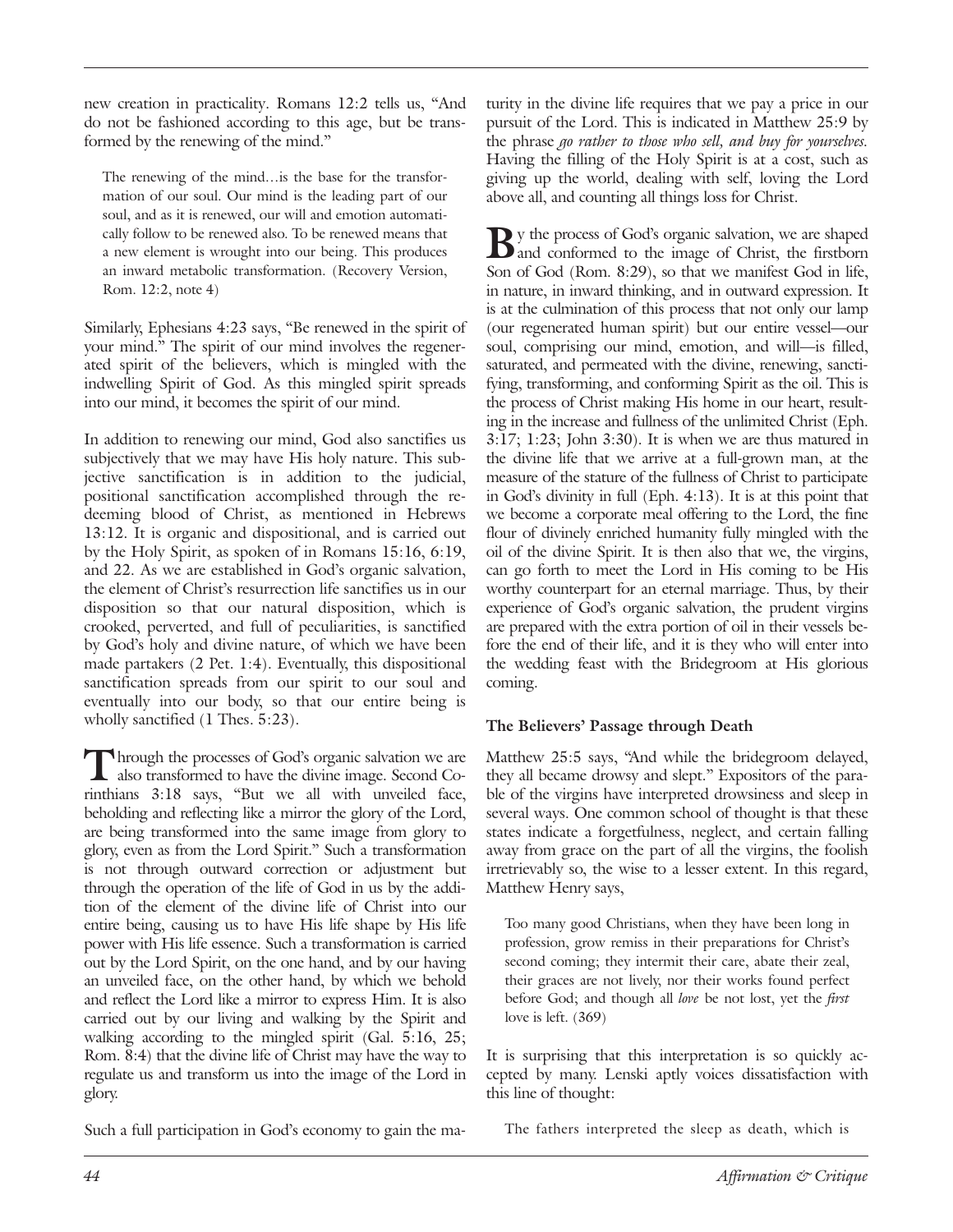new creation in practicality. Romans 12:2 tells us, "And do not be fashioned according to this age, but be transformed by the renewing of the mind."

The renewing of the mind…is the base for the transformation of our soul. Our mind is the leading part of our soul, and as it is renewed, our will and emotion automatically follow to be renewed also. To be renewed means that a new element is wrought into our being. This produces an inward metabolic transformation. (Recovery Version, Rom. 12:2, note 4)

Similarly, Ephesians 4:23 says, "Be renewed in the spirit of your mind." The spirit of our mind involves the regenerated spirit of the believers, which is mingled with the indwelling Spirit of God. As this mingled spirit spreads into our mind, it becomes the spirit of our mind.

In addition to renewing our mind, God also sanctifies us subjectively that we may have His holy nature. This subjective sanctification is in addition to the judicial, positional sanctification accomplished through the redeeming blood of Christ, as mentioned in Hebrews 13:12. It is organic and dispositional, and is carried out by the Holy Spirit, as spoken of in Romans 15:16, 6:19, and 22. As we are established in God's organic salvation, the element of Christ's resurrection life sanctifies us in our disposition so that our natural disposition, which is crooked, perverted, and full of peculiarities, is sanctified by God's holy and divine nature, of which we have been made partakers (2 Pet. 1:4). Eventually, this dispositional sanctification spreads from our spirit to our soul and eventually into our body, so that our entire being is wholly sanctified (1 Thes. 5:23).

Through the processes of God's organic salvation we are also transformed to have the divine image. Second Corinthians 3:18 says, "But we all with unveiled face, beholding and reflecting like a mirror the glory of the Lord, are being transformed into the same image from glory to glory, even as from the Lord Spirit." Such a transformation is not through outward correction or adjustment but through the operation of the life of God in us by the addition of the element of the divine life of Christ into our entire being, causing us to have His life shape by His life power with His life essence. Such a transformation is carried out by the Lord Spirit, on the one hand, and by our having an unveiled face, on the other hand, by which we behold and reflect the Lord like a mirror to express Him. It is also carried out by our living and walking by the Spirit and walking according to the mingled spirit (Gal. 5:16, 25; Rom. 8:4) that the divine life of Christ may have the way to regulate us and transform us into the image of the Lord in glory.

Such a full participation in God's economy to gain the ma-

turity in the divine life requires that we pay a price in our pursuit of the Lord. This is indicated in Matthew 25:9 by the phrase *go rather to those who sell, and buy for yourselves.* Having the filling of the Holy Spirit is at a cost, such as giving up the world, dealing with self, loving the Lord above all, and counting all things loss for Christ.

By the process of God's organic salvation, we are shaped and conformed to the image of Christ, the firstborn Son of God (Rom. 8:29), so that we manifest God in life, in nature, in inward thinking, and in outward expression. It is at the culmination of this process that not only our lamp (our regenerated human spirit) but our entire vessel—our soul, comprising our mind, emotion, and will—is filled, saturated, and permeated with the divine, renewing, sanctifying, transforming, and conforming Spirit as the oil. This is the process of Christ making His home in our heart, resulting in the increase and fullness of the unlimited Christ (Eph. 3:17; 1:23; John 3:30). It is when we are thus matured in the divine life that we arrive at a full-grown man, at the measure of the stature of the fullness of Christ to participate in God's divinity in full (Eph. 4:13). It is at this point that we become a corporate meal offering to the Lord, the fine flour of divinely enriched humanity fully mingled with the oil of the divine Spirit. It is then also that we, the virgins, can go forth to meet the Lord in His coming to be His worthy counterpart for an eternal marriage. Thus, by their experience of God's organic salvation, the prudent virgins are prepared with the extra portion of oil in their vessels before the end of their life, and it is they who will enter into the wedding feast with the Bridegroom at His glorious coming.

# **The Believers' Passage through Death**

Matthew 25:5 says, "And while the bridegroom delayed, they all became drowsy and slept." Expositors of the parable of the virgins have interpreted drowsiness and sleep in several ways. One common school of thought is that these states indicate a forgetfulness, neglect, and certain falling away from grace on the part of all the virgins, the foolish irretrievably so, the wise to a lesser extent. In this regard, Matthew Henry says,

Too many good Christians, when they have been long in profession, grow remiss in their preparations for Christ's second coming; they intermit their care, abate their zeal, their graces are not lively, nor their works found perfect before God; and though all *love* be not lost, yet the *first* love is left. (369)

It is surprising that this interpretation is so quickly accepted by many. Lenski aptly voices dissatisfaction with this line of thought:

The fathers interpreted the sleep as death, which is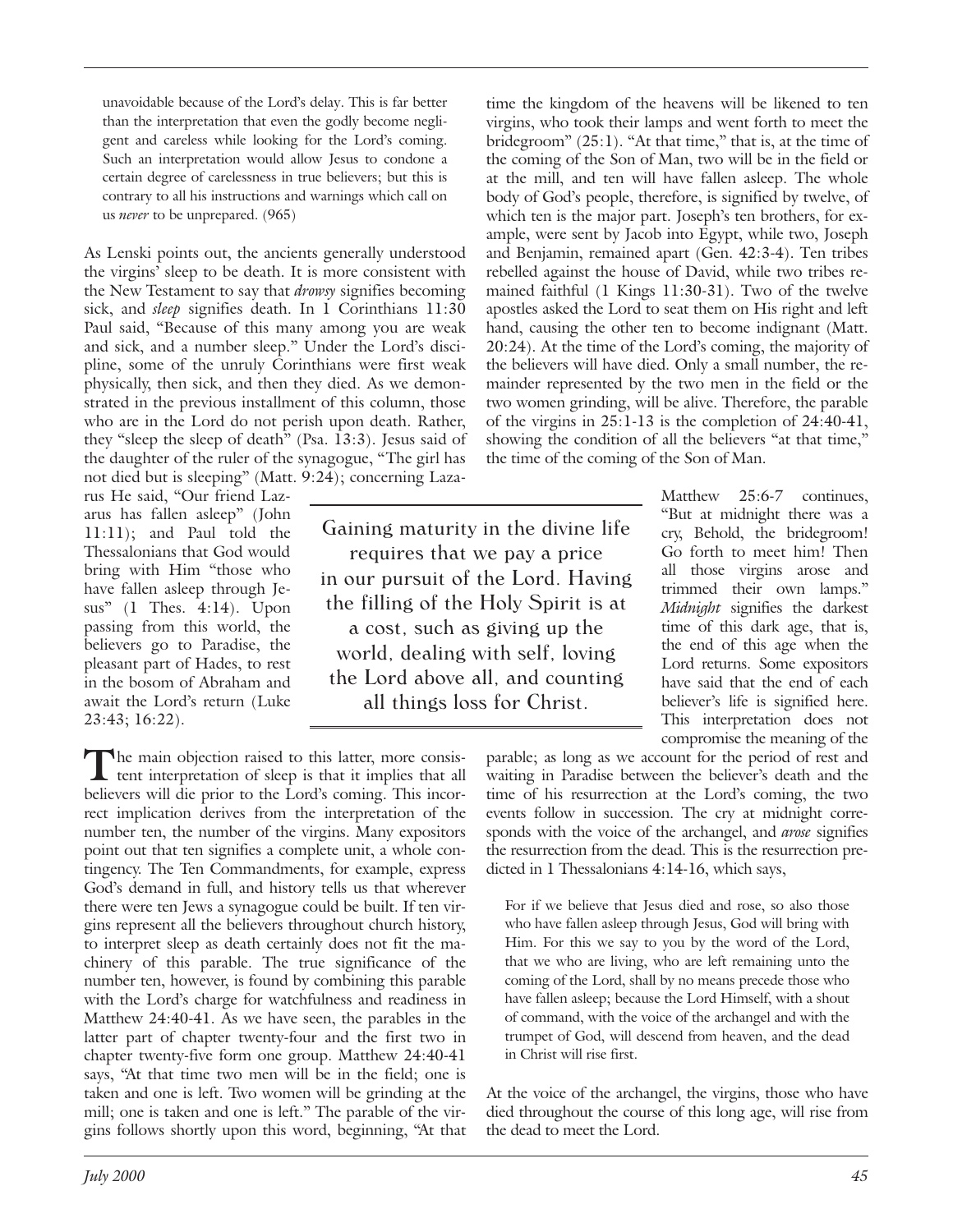unavoidable because of the Lord's delay. This is far better than the interpretation that even the godly become negligent and careless while looking for the Lord's coming. Such an interpretation would allow Jesus to condone a certain degree of carelessness in true believers; but this is contrary to all his instructions and warnings which call on us *never* to be unprepared. (965)

As Lenski points out, the ancients generally understood the virgins' sleep to be death. It is more consistent with the New Testament to say that *drowsy* signifies becoming sick, and *sleep* signifies death. In 1 Corinthians 11:30 Paul said, "Because of this many among you are weak and sick, and a number sleep." Under the Lord's discipline, some of the unruly Corinthians were first weak physically, then sick, and then they died. As we demonstrated in the previous installment of this column, those who are in the Lord do not perish upon death. Rather, they "sleep the sleep of death" (Psa. 13:3). Jesus said of the daughter of the ruler of the synagogue, "The girl has not died but is sleeping" (Matt. 9:24); concerning Laza-

rus He said, "Our friend Lazarus has fallen asleep" (John 11:11); and Paul told the Thessalonians that God would bring with Him "those who have fallen asleep through Jesus" (1 Thes. 4:14). Upon passing from this world, the believers go to Paradise, the pleasant part of Hades, to rest in the bosom of Abraham and await the Lord's return (Luke 23:43; 16:22).

The main objection raised to this latter, more consistent interpretation of sleep is that it implies that all believers will die prior to the Lord's coming. This incorrect implication derives from the interpretation of the number ten, the number of the virgins. Many expositors point out that ten signifies a complete unit, a whole contingency. The Ten Commandments, for example, express God's demand in full, and history tells us that wherever there were ten Jews a synagogue could be built. If ten virgins represent all the believers throughout church history, to interpret sleep as death certainly does not fit the machinery of this parable. The true significance of the number ten, however, is found by combining this parable with the Lord's charge for watchfulness and readiness in Matthew 24:40-41. As we have seen, the parables in the latter part of chapter twenty-four and the first two in chapter twenty-five form one group. Matthew 24:40-41 says, "At that time two men will be in the field; one is taken and one is left. Two women will be grinding at the mill; one is taken and one is left." The parable of the virgins follows shortly upon this word, beginning, "At that

Gaining maturity in the divine life requires that we pay a price in our pursuit of the Lord. Having the filling of the Holy Spirit is at a cost, such as giving up the world, dealing with self, loving the Lord above all, and counting all things loss for Christ.

time the kingdom of the heavens will be likened to ten virgins, who took their lamps and went forth to meet the bridegroom" (25:1). "At that time," that is, at the time of the coming of the Son of Man, two will be in the field or at the mill, and ten will have fallen asleep. The whole body of God's people, therefore, is signified by twelve, of which ten is the major part. Joseph's ten brothers, for example, were sent by Jacob into Egypt, while two, Joseph and Benjamin, remained apart (Gen. 42:3-4). Ten tribes rebelled against the house of David, while two tribes remained faithful (1 Kings 11:30-31). Two of the twelve apostles asked the Lord to seat them on His right and left hand, causing the other ten to become indignant (Matt. 20:24). At the time of the Lord's coming, the majority of the believers will have died. Only a small number, the remainder represented by the two men in the field or the two women grinding, will be alive. Therefore, the parable of the virgins in 25:1-13 is the completion of 24:40-41, showing the condition of all the believers "at that time," the time of the coming of the Son of Man.

> Matthew 25:6-7 continues, "But at midnight there was a cry, Behold, the bridegroom! Go forth to meet him! Then all those virgins arose and trimmed their own lamps." *Midnight* signifies the darkest time of this dark age, that is, the end of this age when the Lord returns. Some expositors have said that the end of each believer's life is signified here. This interpretation does not compromise the meaning of the

parable; as long as we account for the period of rest and waiting in Paradise between the believer's death and the time of his resurrection at the Lord's coming, the two events follow in succession. The cry at midnight corresponds with the voice of the archangel, and *arose* signifies the resurrection from the dead. This is the resurrection predicted in 1 Thessalonians 4:14-16, which says,

For if we believe that Jesus died and rose, so also those who have fallen asleep through Jesus, God will bring with Him. For this we say to you by the word of the Lord, that we who are living, who are left remaining unto the coming of the Lord, shall by no means precede those who have fallen asleep; because the Lord Himself, with a shout of command, with the voice of the archangel and with the trumpet of God, will descend from heaven, and the dead in Christ will rise first.

At the voice of the archangel, the virgins, those who have died throughout the course of this long age, will rise from the dead to meet the Lord.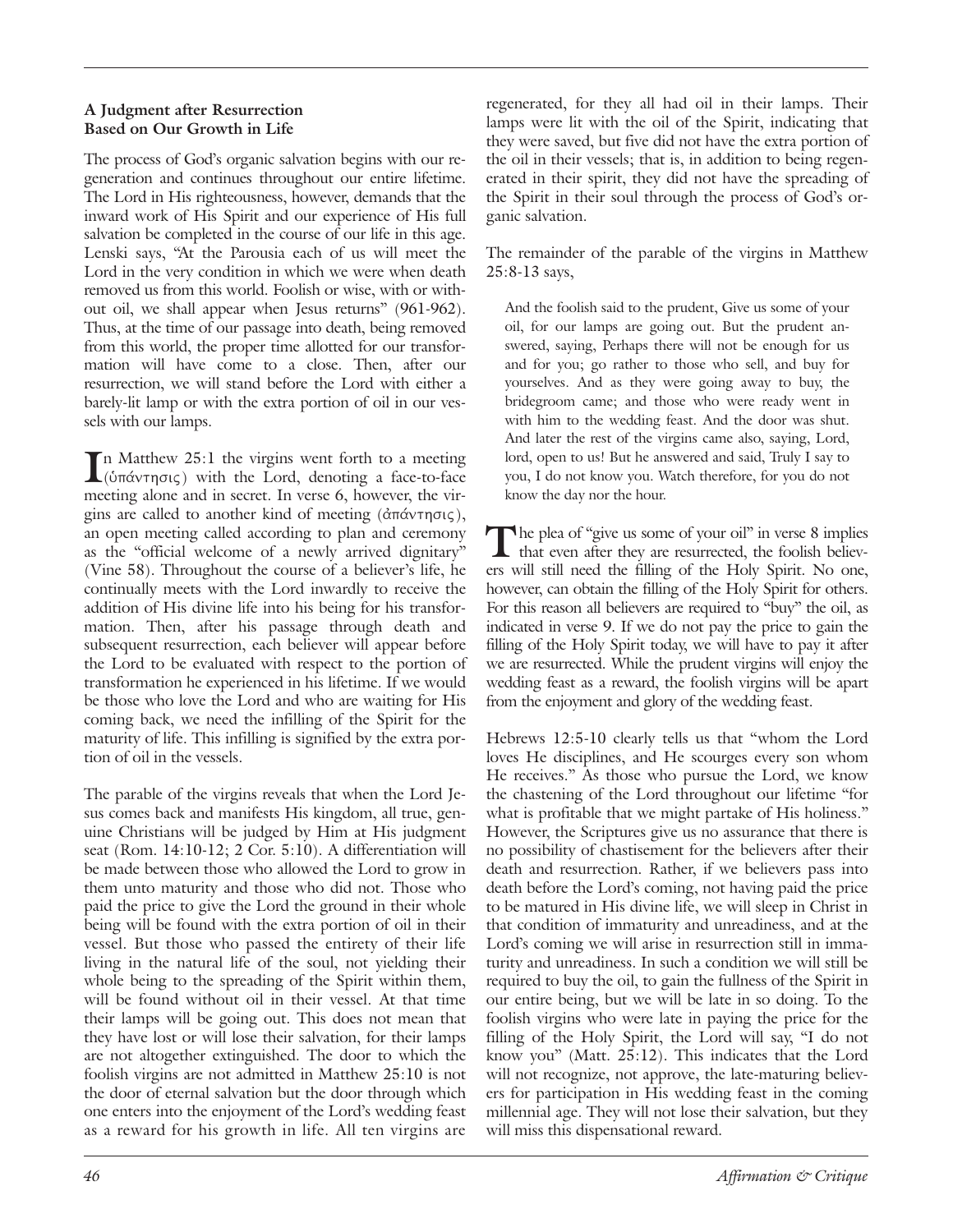#### **A Judgment after Resurrection Based on Our Growth in Life**

The process of God's organic salvation begins with our regeneration and continues throughout our entire lifetime. The Lord in His righteousness, however, demands that the inward work of His Spirit and our experience of His full salvation be completed in the course of our life in this age. Lenski says, "At the Parousia each of us will meet the Lord in the very condition in which we were when death removed us from this world. Foolish or wise, with or without oil, we shall appear when Jesus returns" (961-962). Thus, at the time of our passage into death, being removed from this world, the proper time allotted for our transformation will have come to a close. Then, after our resurrection, we will stand before the Lord with either a barely-lit lamp or with the extra portion of oil in our vessels with our lamps.

In Matthew 25:1 the virgins went forth to a meeting (ὑπάντησις) with the Lord, denoting a face-to-face meeting alone and in secret. In verse 6, however, the virgins are called to another kind of meeting  $(\hat{\alpha} \pi \hat{\alpha} \nu \tau \eta \sigma \iota \varsigma),$ an open meeting called according to plan and ceremony as the "official welcome of a newly arrived dignitary" (Vine 58). Throughout the course of a believer's life, he continually meets with the Lord inwardly to receive the addition of His divine life into his being for his transformation. Then, after his passage through death and subsequent resurrection, each believer will appear before the Lord to be evaluated with respect to the portion of transformation he experienced in his lifetime. If we would be those who love the Lord and who are waiting for His coming back, we need the infilling of the Spirit for the maturity of life. This infilling is signified by the extra portion of oil in the vessels.

The parable of the virgins reveals that when the Lord Jesus comes back and manifests His kingdom, all true, genuine Christians will be judged by Him at His judgment seat (Rom. 14:10-12; 2 Cor. 5:10). A differentiation will be made between those who allowed the Lord to grow in them unto maturity and those who did not. Those who paid the price to give the Lord the ground in their whole being will be found with the extra portion of oil in their vessel. But those who passed the entirety of their life living in the natural life of the soul, not yielding their whole being to the spreading of the Spirit within them, will be found without oil in their vessel. At that time their lamps will be going out. This does not mean that they have lost or will lose their salvation, for their lamps are not altogether extinguished. The door to which the foolish virgins are not admitted in Matthew 25:10 is not the door of eternal salvation but the door through which one enters into the enjoyment of the Lord's wedding feast as a reward for his growth in life. All ten virgins are regenerated, for they all had oil in their lamps. Their lamps were lit with the oil of the Spirit, indicating that they were saved, but five did not have the extra portion of the oil in their vessels; that is, in addition to being regenerated in their spirit, they did not have the spreading of the Spirit in their soul through the process of God's organic salvation.

The remainder of the parable of the virgins in Matthew 25:8-13 says,

And the foolish said to the prudent, Give us some of your oil, for our lamps are going out. But the prudent answered, saying, Perhaps there will not be enough for us and for you; go rather to those who sell, and buy for yourselves. And as they were going away to buy, the bridegroom came; and those who were ready went in with him to the wedding feast. And the door was shut. And later the rest of the virgins came also, saying, Lord, lord, open to us! But he answered and said, Truly I say to you, I do not know you. Watch therefore, for you do not know the day nor the hour.

The plea of "give us some of your oil" in verse 8 implies that even after they are resurrected, the foolish believers will still need the filling of the Holy Spirit. No one, however, can obtain the filling of the Holy Spirit for others. For this reason all believers are required to "buy" the oil, as indicated in verse 9. If we do not pay the price to gain the filling of the Holy Spirit today, we will have to pay it after we are resurrected. While the prudent virgins will enjoy the wedding feast as a reward, the foolish virgins will be apart from the enjoyment and glory of the wedding feast.

Hebrews 12:5-10 clearly tells us that "whom the Lord loves He disciplines, and He scourges every son whom He receives." As those who pursue the Lord, we know the chastening of the Lord throughout our lifetime "for what is profitable that we might partake of His holiness." However, the Scriptures give us no assurance that there is no possibility of chastisement for the believers after their death and resurrection. Rather, if we believers pass into death before the Lord's coming, not having paid the price to be matured in His divine life, we will sleep in Christ in that condition of immaturity and unreadiness, and at the Lord's coming we will arise in resurrection still in immaturity and unreadiness. In such a condition we will still be required to buy the oil, to gain the fullness of the Spirit in our entire being, but we will be late in so doing. To the foolish virgins who were late in paying the price for the filling of the Holy Spirit, the Lord will say, "I do not know you" (Matt. 25:12). This indicates that the Lord will not recognize, not approve, the late-maturing believers for participation in His wedding feast in the coming millennial age. They will not lose their salvation, but they will miss this dispensational reward.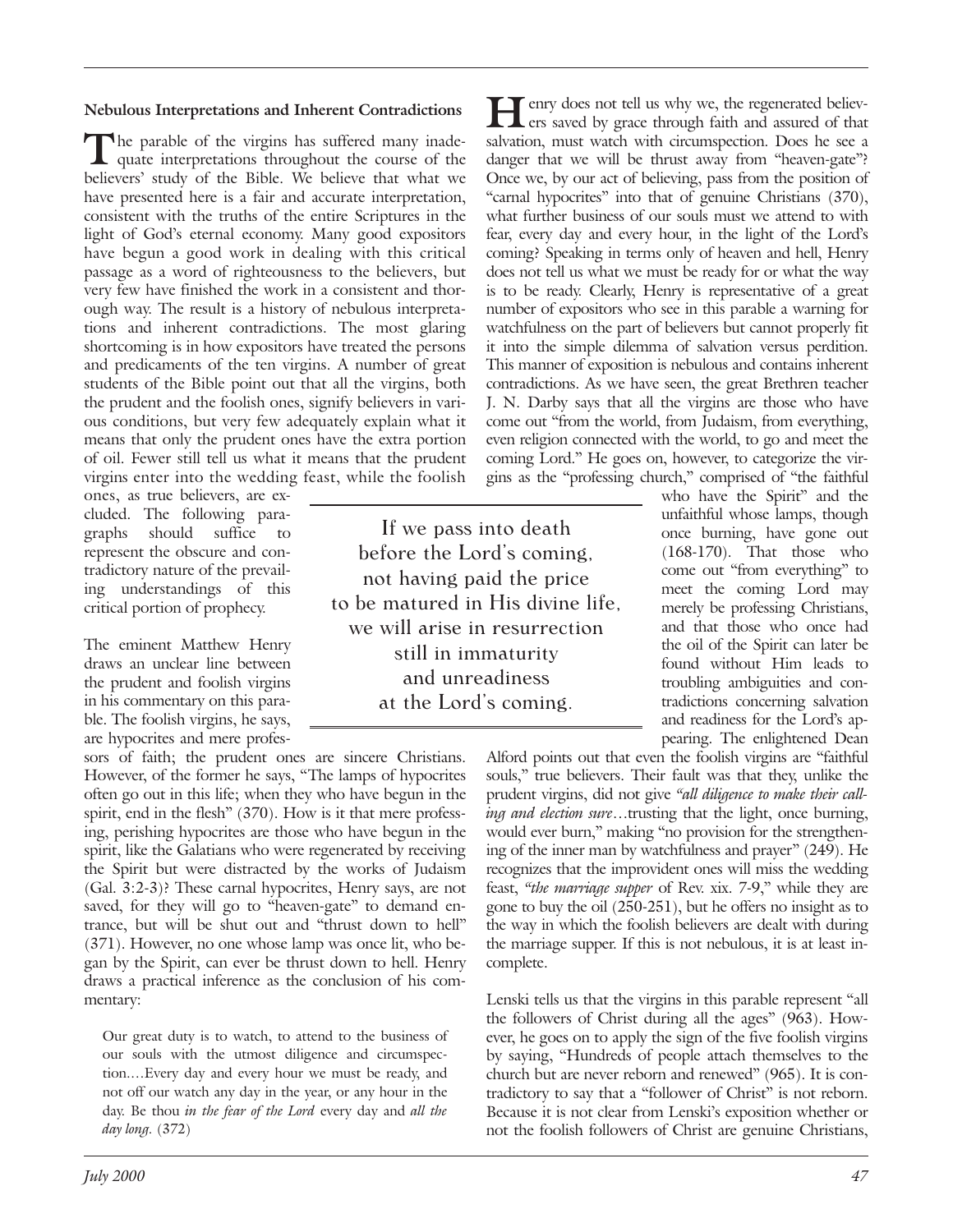# **Nebulous Interpretations and Inherent Contradictions**

The parable of the virgins has suffered many inadequate interpretations throughout the course of the believers' study of the Bible. We believe that what we have presented here is a fair and accurate interpretation, consistent with the truths of the entire Scriptures in the light of God's eternal economy. Many good expositors have begun a good work in dealing with this critical passage as a word of righteousness to the believers, but very few have finished the work in a consistent and thorough way. The result is a history of nebulous interpretations and inherent contradictions. The most glaring shortcoming is in how expositors have treated the persons and predicaments of the ten virgins. A number of great students of the Bible point out that all the virgins, both the prudent and the foolish ones, signify believers in various conditions, but very few adequately explain what it means that only the prudent ones have the extra portion of oil. Fewer still tell us what it means that the prudent virgins enter into the wedding feast, while the foolish

ones, as true believers, are excluded. The following paragraphs should suffice to represent the obscure and contradictory nature of the prevailing understandings of this critical portion of prophecy.

The eminent Matthew Henry draws an unclear line between the prudent and foolish virgins in his commentary on this parable. The foolish virgins, he says, are hypocrites and mere profes-

sors of faith; the prudent ones are sincere Christians. However, of the former he says, "The lamps of hypocrites often go out in this life; when they who have begun in the spirit, end in the flesh" (370). How is it that mere professing, perishing hypocrites are those who have begun in the spirit, like the Galatians who were regenerated by receiving the Spirit but were distracted by the works of Judaism (Gal. 3:2-3)? These carnal hypocrites, Henry says, are not saved, for they will go to "heaven-gate" to demand entrance, but will be shut out and "thrust down to hell" (371). However, no one whose lamp was once lit, who began by the Spirit, can ever be thrust down to hell. Henry draws a practical inference as the conclusion of his commentary:

Our great duty is to watch, to attend to the business of our souls with the utmost diligence and circumspection.…Every day and every hour we must be ready, and not off our watch any day in the year, or any hour in the day. Be thou *in the fear of the Lord* every day and *all the day long.* (372)

If we pass into death before the Lord's coming, not having paid the price to be matured in His divine life, we will arise in resurrection still in immaturity and unreadiness at the Lord's coming.

**Henry does not tell us why we, the regenerated believers saved by grace through faith and assured of that** salvation, must watch with circumspection. Does he see a danger that we will be thrust away from "heaven-gate"? Once we, by our act of believing, pass from the position of "carnal hypocrites" into that of genuine Christians (370), what further business of our souls must we attend to with fear, every day and every hour, in the light of the Lord's coming? Speaking in terms only of heaven and hell, Henry does not tell us what we must be ready for or what the way is to be ready. Clearly, Henry is representative of a great number of expositors who see in this parable a warning for watchfulness on the part of believers but cannot properly fit it into the simple dilemma of salvation versus perdition. This manner of exposition is nebulous and contains inherent contradictions. As we have seen, the great Brethren teacher J. N. Darby says that all the virgins are those who have come out "from the world, from Judaism, from everything, even religion connected with the world, to go and meet the coming Lord." He goes on, however, to categorize the virgins as the "professing church," comprised of "the faithful

who have the Spirit" and the unfaithful whose lamps, though once burning, have gone out (168-170). That those who come out "from everything" to meet the coming Lord may merely be professing Christians, and that those who once had the oil of the Spirit can later be found without Him leads to troubling ambiguities and contradictions concerning salvation and readiness for the Lord's appearing. The enlightened Dean

Alford points out that even the foolish virgins are "faithful souls," true believers. Their fault was that they, unlike the prudent virgins, did not give *"all diligence to make their calling and election sure*…trusting that the light, once burning, would ever burn," making "no provision for the strengthening of the inner man by watchfulness and prayer" (249). He recognizes that the improvident ones will miss the wedding feast, *"the marriage supper* of Rev. xix. 7-9," while they are gone to buy the oil (250-251), but he offers no insight as to the way in which the foolish believers are dealt with during the marriage supper. If this is not nebulous, it is at least incomplete.

Lenski tells us that the virgins in this parable represent "all the followers of Christ during all the ages" (963). However, he goes on to apply the sign of the five foolish virgins by saying, "Hundreds of people attach themselves to the church but are never reborn and renewed" (965). It is contradictory to say that a "follower of Christ" is not reborn. Because it is not clear from Lenski's exposition whether or not the foolish followers of Christ are genuine Christians,